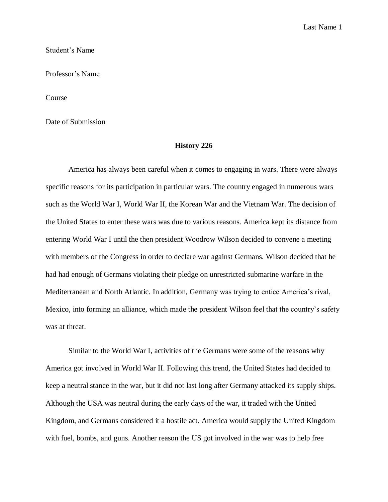Last Name 1

Student's Name

Professor's Name

Course

Date of Submission

## **History 226**

America has always been careful when it comes to engaging in wars. There were always specific reasons for its participation in particular wars. The country engaged in numerous wars such as the World War I, World War II, the Korean War and the Vietnam War. The decision of the United States to enter these wars was due to various reasons. America kept its distance from entering World War I until the then president Woodrow Wilson decided to convene a meeting with members of the Congress in order to declare war against Germans. Wilson decided that he had had enough of Germans violating their pledge on unrestricted submarine warfare in the Mediterranean and North Atlantic. In addition, Germany was trying to entice America's rival, Mexico, into forming an alliance, which made the president Wilson feel that the country's safety was at threat.

Similar to the World War I, activities of the Germans were some of the reasons why America got involved in World War II. Following this trend, the United States had decided to keep a neutral stance in the war, but it did not last long after Germany attacked its supply ships. Although the USA was neutral during the early days of the war, it traded with the United Kingdom, and Germans considered it a hostile act. America would supply the United Kingdom with fuel, bombs, and guns. Another reason the US got involved in the war was to help free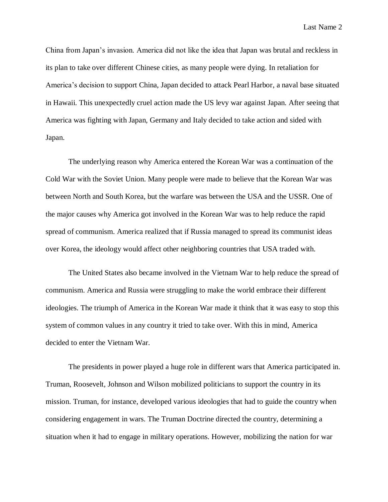Last Name 2

China from Japan's invasion. America did not like the idea that Japan was brutal and reckless in its plan to take over different Chinese cities, as many people were dying. In retaliation for America's decision to support China, Japan decided to attack Pearl Harbor, a naval base situated in Hawaii. This unexpectedly cruel action made the US levy war against Japan. After seeing that America was fighting with Japan, Germany and Italy decided to take action and sided with Japan.

The underlying reason why America entered the Korean War was a continuation of the Cold War with the Soviet Union. Many people were made to believe that the Korean War was between North and South Korea, but the warfare was between the USA and the USSR. One of the major causes why America got involved in the Korean War was to help reduce the rapid spread of communism. America realized that if Russia managed to spread its communist ideas over Korea, the ideology would affect other neighboring countries that USA traded with.

The United States also became involved in the Vietnam War to help reduce the spread of communism. America and Russia were struggling to make the world embrace their different ideologies. The triumph of America in the Korean War made it think that it was easy to stop this system of common values in any country it tried to take over. With this in mind, America decided to enter the Vietnam War.

The presidents in power played a huge role in different wars that America participated in. Truman, Roosevelt, Johnson and Wilson mobilized politicians to support the country in its mission. Truman, for instance, developed various ideologies that had to guide the country when considering engagement in wars. The Truman Doctrine directed the country, determining a situation when it had to engage in military operations. However, mobilizing the nation for war